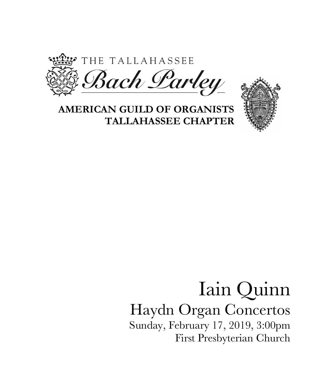

## **AMERICAN GUILD OF ORGANISTS TALLAHASSEE CHAPTER**



## Iain Quinn Haydn Organ Concertos Sunday, February 17, 2019, 3:00pm First Presbyterian Church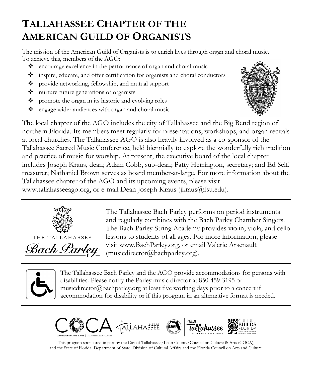## **TALLAHASSEE CHAPTER OF THE AMERICAN GUILD OF ORGANISTS**

The mission of the American Guild of Organists is to enrich lives through organ and choral music. To achieve this, members of the AGO:

- $\bullet$  encourage excellence in the performance of organ and choral music
- v inspire, educate, and offer certification for organists and choral conductors
- \* provide networking, fellowship, and mutual support
- v nurture future generations of organists
- $\bullet$  promote the organ in its historic and evolving roles
- $\bullet$  engage wider audiences with organ and choral music



The local chapter of the AGO includes the city of Tallahassee and the Big Bend region of northern Florida. Its members meet regularly for presentations, workshops, and organ recitals at local churches. The Tallahassee AGO is also heavily involved as a co-sponsor of the Tallahassee Sacred Music Conference, held biennially to explore the wonderfully rich tradition and practice of music for worship. At present, the executive board of the local chapter includes Joseph Kraus, dean; Adam Cobb, sub-dean; Patty Herrington, secretary; and Ed Self, treasurer; Nathaniel Brown serves as board member-at-large. For more information about the Tallahassee chapter of the AGO and its upcoming events, please visit www.tallahasseeago.org, or e-mail Dean Joseph Kraus (jkraus@fsu.edu).



THE TALLAHASSEE Bach Larley The Tallahassee Bach Parley performs on period instruments and regularly combines with the Bach Parley Chamber Singers. The Bach Parley String Academy provides violin, viola, and cello lessons to students of all ages. For more information, please visit www.BachParley.org, or email Valerie Arsenault (musicdirector@bachparley.org).



The Tallahassee Bach Parley and the AGO provide accommodations for persons with disabilities. Please notify the Parley music director at 850-459-3195 or musicdirector@bachparley.org at least five working days prior to a concert if accommodation for disability or if this program in an alternative format is needed.



This program sponsored in part by the City of Tallahassee/Leon County/Council on Culture & Arts (COCA); and the State of Florida, Department of State, Division of Cultural Affairs and the Florida Council on Arts and Culture.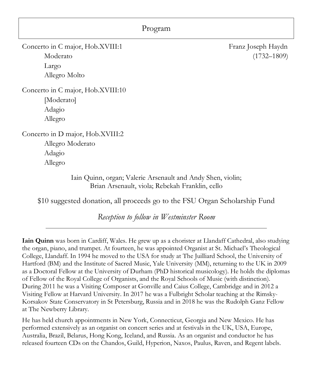| Program                                                                                                        |                                       |
|----------------------------------------------------------------------------------------------------------------|---------------------------------------|
| Concerto in C major, Hob.XVIII:1<br>Moderato<br>Largo<br>Allegro Molto                                         | Franz Joseph Haydn<br>$(1732 - 1809)$ |
| Concerto in C major, Hob.XVIII:10<br>[Moderato]<br>Adagio<br>Allegro                                           |                                       |
| Concerto in D major, Hob.XVIII:2<br>Allegro Moderato<br>Adagio<br>Allegro                                      |                                       |
| Iain Quinn, organ; Valerie Arsenault and Andy Shen, violin;<br>Brian Arsenault, viola; Rebekah Franklin, cello |                                       |

\$10 suggested donation, all proceeds go to the FSU Organ Scholarship Fund

*Reception to follow in Westminster Room*

**Iain Quinn** was born in Cardiff, Wales. He grew up as a chorister at Llandaff Cathedral, also studying the organ, piano, and trumpet. At fourteen, he was appointed Organist at St. Michael's Theological College, Llandaff. In 1994 he moved to the USA for study at The Juilliard School, the University of Hartford (BM) and the Institute of Sacred Music, Yale University (MM), returning to the UK in 2009 as a Doctoral Fellow at the University of Durham (PhD historical musicology). He holds the diplomas of Fellow of the Royal College of Organists, and the Royal Schools of Music (with distinction). During 2011 he was a Visiting Composer at Gonville and Caius College, Cambridge and in 2012 a Visiting Fellow at Harvard University. In 2017 he was a Fulbright Scholar teaching at the Rimsky-Korsakov State Conservatory in St Petersburg, Russia and in 2018 he was the Rudolph Ganz Fellow at The Newberry Library.

He has held church appointments in New York, Connecticut, Georgia and New Mexico. He has performed extensively as an organist on concert series and at festivals in the UK, USA, Europe, Australia, Brazil, Belarus, Hong Kong, Iceland, and Russia. As an organist and conductor he has released fourteen CDs on the Chandos, Guild, Hyperion, Naxos, Paulus, Raven, and Regent labels.